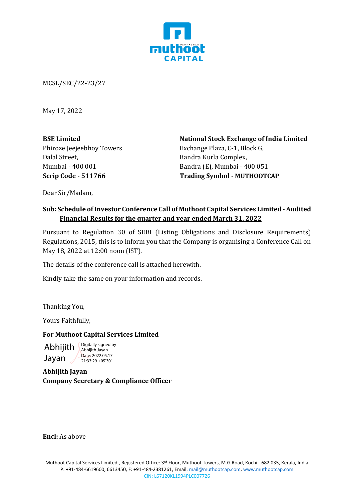

MCSL/SEC/22-23/27

May 17, 2022

**BSE Limited** Phiroze Jeejeebhoy Towers Dalal Street, Mumbai - 400 001 **Scrip Code - 511766**

**National Stock Exchange of India Limited** Exchange Plaza, C-1, Block G, Bandra Kurla Complex, Bandra (E), Mumbai - 400 051 **Trading Symbol - MUTHOOTCAP**

Dear Sir/Madam,

## **Sub: Schedule of Investor Conference Call of Muthoot Capital Services Limited -Audited Financial Results for the quarter and year ended March 31, 2022**

Pursuant to Regulation 30 of SEBI (Listing Obligations and Disclosure Requirements) Regulations, 2015, this is to inform you that the Company is organising a Conference Call on May 18, 2022 at 12:00 noon (IST).

The details of the conference call is attached herewith.

Kindly take the same on your information and records.

Thanking You,

Yours Faithfully,

## **For Muthoot Capital Services Limited**

Abhijith Jayan Digitally signed by Abhijith Jayan

**Abhijith Jayan** Date: 2022.05.17 21:33:29 +05'30'

**Company Secretary & Compliance Officer**

**Encl:** As above